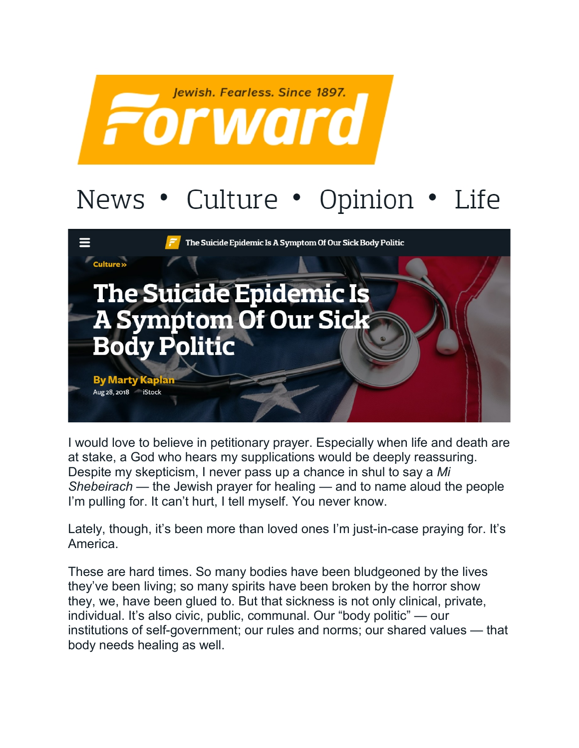

## News • Culture • Opinion • Life



I would love to believe in petitionary prayer. Especially when life and death are at stake, a God who hears my supplications would be deeply reassuring. Despite my skepticism, I never pass up a chance in shul to say a *Mi Shebeirach* — the Jewish prayer for healing — and to name aloud the people I'm pulling for. It can't hurt, I tell myself. You never know.

Lately, though, it's been more than loved ones I'm just-in-case praying for. It's America.

These are hard times. So many bodies have been bludgeoned by the lives they've been living; so many spirits have been broken by the horror show they, we, have been glued to. But that sickness is not only clinical, private, individual. It's also civic, public, communal. Our "body politic" — our institutions of self-government; our rules and norms; our shared values — that body needs healing as well.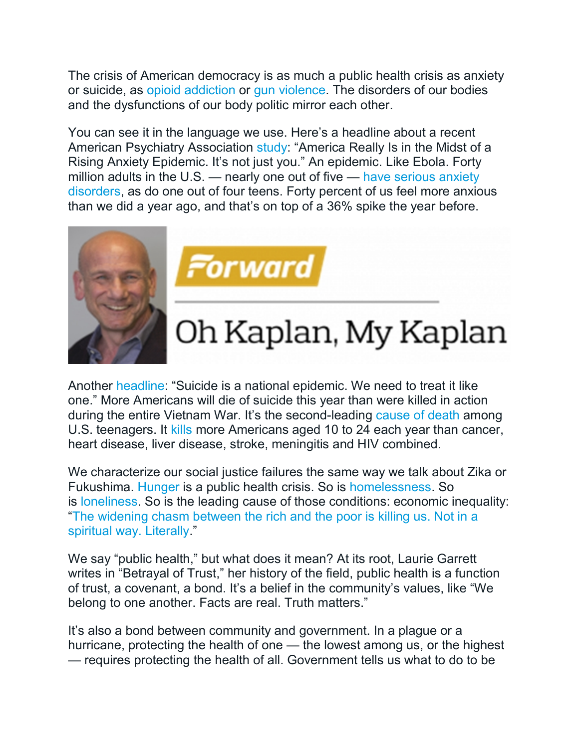The crisis of American democracy is as much a public health crisis as anxiety or suicide, as [opioid addiction](https://www.hhs.gov/about/news/2017/10/26/hhs-acting-secretary-declares-public-health-emergency-address-national-opioid-crisis.html) or [gun violence.](https://www.npr.org/sections/health-shots/2017/11/15/564384012/what-if-we-treated-gun-violence-like-a-public-health-crisis) The disorders of our bodies and the dysfunctions of our body politic mirror each other.

You can see it in the language we use. Here's a headline about a recent American Psychiatry Association [study:](https://www.sciencealert.com/americans-are-in-the-midst-of-an-anxiety-epidemic-stress-increase) "America Really Is in the Midst of a Rising Anxiety Epidemic. It's not just you." An epidemic. Like Ebola. Forty million adults in the U.S. — nearly one out of five — [have serious anxiety](https://adaa.org/about-adaa/press-room/facts-statistics)  [disorders,](https://adaa.org/about-adaa/press-room/facts-statistics) as do one out of four teens. Forty percent of us feel more anxious than we did a year ago, and that's on top of a 36% spike the year before.





## Oh Kaplan, My Kaplan

Another [headline:](https://www.washingtonpost.com/opinions/suicide-is-a-national-epidemic-we-need-to-treat-it-like-one/2018/07/05/21282ade-7986-11e8-aeee-4d04c8ac6158_story.html) "Suicide is a national epidemic. We need to treat it like one." More Americans will die of suicide this year than were killed in action during the entire Vietnam War. It's the second-leading [cause of death](https://www.prb.org/suicide-replaces-homicide-second-leading-cause-death-among-us-teens/) among U.S. teenagers. It [kills](https://www.psychologytoday.com/us/blog/the-social-brain/201803/it-s-time-we-treated-suicide-public-health-crisis) more Americans aged 10 to 24 each year than cancer, heart disease, liver disease, stroke, meningitis and HIV combined.

We characterize our social justice failures the same way we talk about Zika or Fukushima. [Hunger](https://www.cnbc.com/2016/12/13/americas-dirty-little-secret-42-million-are-suffering-from-hunger.html) is a public health crisis. So is [homelessness.](https://www.apha.org/policies-and-advocacy/public-health-policy-statements/policy-database/2018/01/18/housing-and-homelessness-as-a-public-health-issue) So is [loneliness.](https://thehill.com/opinion/healthcare/399123-loneliness-kills-a-new-public-health-crisis-and-what-we-can-do-about-it) So is the leading cause of those conditions: economic inequality: ["The widening chasm between the rich and the poor is killing us. Not in a](https://www.marketwatch.com/story/how-economic-inequality-is-killing-us-2018-04-18)  [spiritual way. Literally.](https://www.marketwatch.com/story/how-economic-inequality-is-killing-us-2018-04-18)"

We say "public health," but what does it mean? At its root, Laurie Garrett writes in "Betrayal of Trust," her history of the field, public health is a function of trust, a covenant, a bond. It's a belief in the community's values, like "We belong to one another. Facts are real. Truth matters."

It's also a bond between community and government. In a plague or a hurricane, protecting the health of one — the lowest among us, or the highest — requires protecting the health of all. Government tells us what to do to be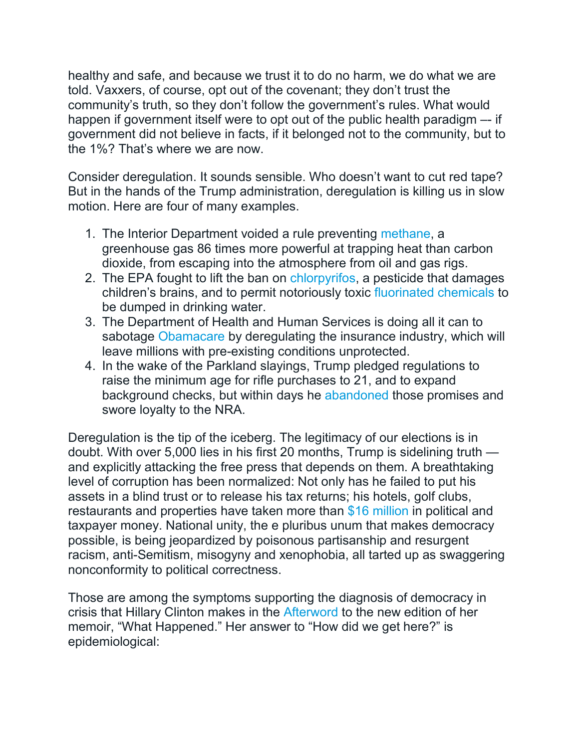healthy and safe, and because we trust it to do no harm, we do what we are told. Vaxxers, of course, opt out of the covenant; they don't trust the community's truth, so they don't follow the government's rules. What would happen if government itself were to opt out of the public health paradigm -- if government did not believe in facts, if it belonged not to the community, but to the 1%? That's where we are now.

Consider deregulation. It sounds sensible. Who doesn't want to cut red tape? But in the hands of the Trump administration, deregulation is killing us in slow motion. Here are four of many examples.

- 1. The Interior Department voided a rule preventing [methane,](https://www.nytimes.com/2018/09/18/climate/trump-methane-rollback.html) a greenhouse gas 86 times more powerful at trapping heat than carbon dioxide, from escaping into the atmosphere from oil and gas rigs.
- 2. The EPA fought to lift the ban on [chlorpyrifos,](https://www.nytimes.com/2018/08/09/us/politics/chlorpyrifos-pesticide-ban-epa-court.html) a pesticide that damages children's brains, and to permit notoriously toxic [fluorinated chemicals](https://www.ewg.org/release/epa-stricter-limits-protect-americans-toxic-fluorinated-chemicals-are-nightmare#.W6U2n62ZMQ8) to be dumped in drinking water.
- 3. The Department of Health and Human Services is doing all it can to sabotage [Obamacare](https://www.cbpp.org/sabotage-watch-tracking-efforts-to-undermine-the-aca) by deregulating the insurance industry, which will leave millions with pre-existing conditions unprotected.
- 4. In the wake of the Parkland slayings, Trump pledged regulations to raise the minimum age for rifle purchases to 21, and to expand background checks, but within days he [abandoned](https://www.nytimes.com/2018/03/12/us/politics/trump-gun-control-national-rifle-association.html) those promises and swore loyalty to the NRA.

Deregulation is the tip of the iceberg. The legitimacy of our elections is in doubt. With over 5,000 lies in his first 20 months, Trump is sidelining truth and explicitly attacking the free press that depends on them. A breathtaking level of corruption has been normalized: Not only has he failed to put his assets in a blind trust or to release his tax returns; his hotels, golf clubs, restaurants and properties have taken more than [\\$16 million](https://www.propublica.org/article/political-and-taxpayer-spending-at-trump-properties-16-1-million) in political and taxpayer money. National unity, the e pluribus unum that makes democracy possible, is being jeopardized by poisonous partisanship and resurgent racism, anti-Semitism, misogyny and xenophobia, all tarted up as swaggering nonconformity to political correctness.

Those are among the symptoms supporting the diagnosis of democracy in crisis that Hillary Clinton makes in the [Afterword](https://www.theatlantic.com/ideas/archive/2018/09/american-democracy-is-in-crisis/570394/) to the new edition of her memoir, "What Happened." Her answer to "How did we get here?" is epidemiological: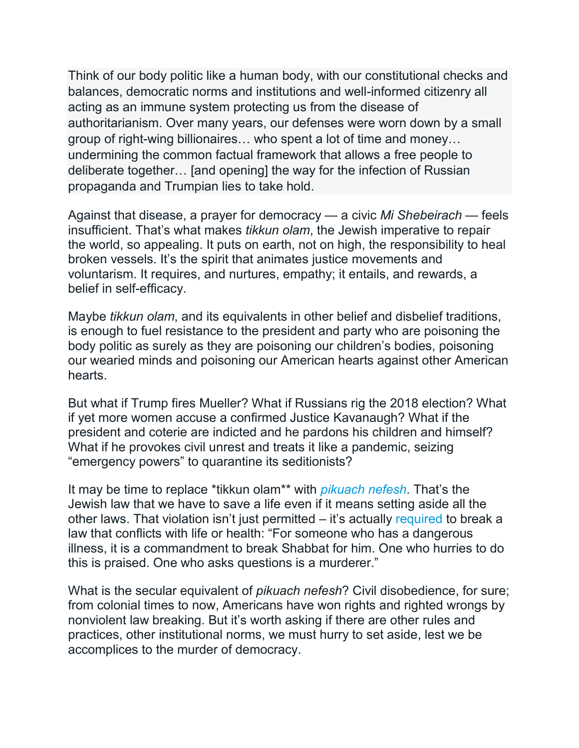Think of our body politic like a human body, with our constitutional checks and balances, democratic norms and institutions and well-informed citizenry all acting as an immune system protecting us from the disease of authoritarianism. Over many years, our defenses were worn down by a small group of right-wing billionaires… who spent a lot of time and money… undermining the common factual framework that allows a free people to deliberate together… [and opening] the way for the infection of Russian propaganda and Trumpian lies to take hold.

Against that disease, a prayer for democracy — a civic *Mi Shebeirach* — feels insufficient. That's what makes *tikkun olam*, the Jewish imperative to repair the world, so appealing. It puts on earth, not on high, the responsibility to heal broken vessels. It's the spirit that animates justice movements and voluntarism. It requires, and nurtures, empathy; it entails, and rewards, a belief in self-efficacy.

Maybe *tikkun olam*, and its equivalents in other belief and disbelief traditions, is enough to fuel resistance to the president and party who are poisoning the body politic as surely as they are poisoning our children's bodies, poisoning our wearied minds and poisoning our American hearts against other American hearts.

But what if Trump fires Mueller? What if Russians rig the 2018 election? What if yet more women accuse a confirmed Justice Kavanaugh? What if the president and coterie are indicted and he pardons his children and himself? What if he provokes civil unrest and treats it like a pandemic, seizing "emergency powers" to quarantine its seditionists?

It may be time to replace \*tikkun olam\*\* with *[pikuach nefesh](https://www.myjewishlearning.com/article/saving-a-life-pikuach-nefesh/)*. That's the Jewish law that we have to save a life even if it means setting aside all the other laws. That violation isn't just permitted – it's actually [required](https://www.sefaria.org/Shulchan_Arukh%2C_Orach_Chayim.328.2?lang=bi) to break a law that conflicts with life or health: "For someone who has a dangerous illness, it is a commandment to break Shabbat for him. One who hurries to do this is praised. One who asks questions is a murderer."

What is the secular equivalent of *pikuach nefesh*? Civil disobedience, for sure; from colonial times to now, Americans have won rights and righted wrongs by nonviolent law breaking. But it's worth asking if there are other rules and practices, other institutional norms, we must hurry to set aside, lest we be accomplices to the murder of democracy.